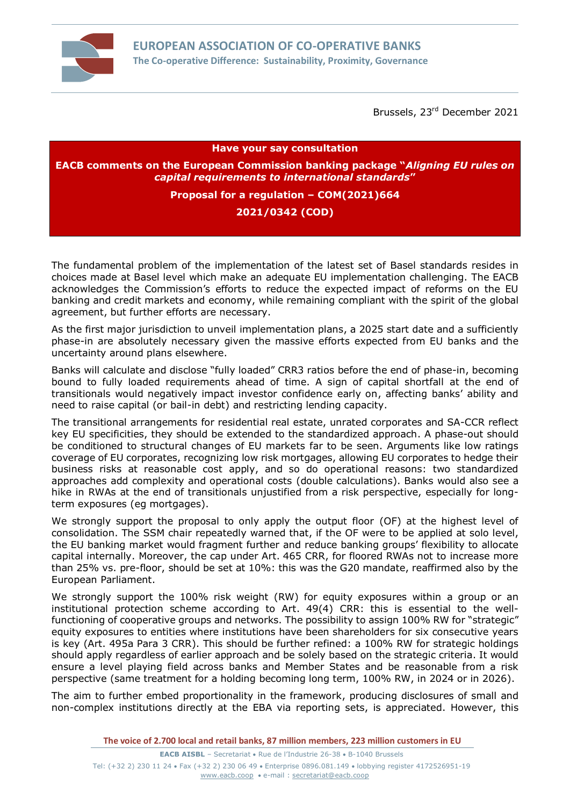

Brussels, 23<sup>rd</sup> December 2021

**Have your say consultation**

**EACB comments on the European Commission banking package "***Aligning EU rules on capital requirements to international standards***"**

**Proposal for a regulation – COM(2021)664**

## **2021/0342 (COD)**

The fundamental problem of the implementation of the latest set of Basel standards resides in choices made at Basel level which make an adequate EU implementation challenging. The EACB acknowledges the Commission's efforts to reduce the expected impact of reforms on the EU banking and credit markets and economy, while remaining compliant with the spirit of the global agreement, but further efforts are necessary.

As the first major jurisdiction to unveil implementation plans, a 2025 start date and a sufficiently phase-in are absolutely necessary given the massive efforts expected from EU banks and the uncertainty around plans elsewhere.

Banks will calculate and disclose "fully loaded" CRR3 ratios before the end of phase-in, becoming bound to fully loaded requirements ahead of time. A sign of capital shortfall at the end of transitionals would negatively impact investor confidence early on, affecting banks' ability and need to raise capital (or bail-in debt) and restricting lending capacity.

The transitional arrangements for residential real estate, unrated corporates and SA-CCR reflect key EU specificities, they should be extended to the standardized approach. A phase-out should be conditioned to structural changes of EU markets far to be seen. Arguments like low ratings coverage of EU corporates, recognizing low risk mortgages, allowing EU corporates to hedge their business risks at reasonable cost apply, and so do operational reasons: two standardized approaches add complexity and operational costs (double calculations). Banks would also see a hike in RWAs at the end of transitionals unjustified from a risk perspective, especially for longterm exposures (eg mortgages).

We strongly support the proposal to only apply the output floor (OF) at the highest level of consolidation. The SSM chair repeatedly warned that, if the OF were to be applied at solo level, the EU banking market would fragment further and reduce banking groups' flexibility to allocate capital internally. Moreover, the cap under Art. 465 CRR, for floored RWAs not to increase more than 25% vs. pre-floor, should be set at 10%: this was the G20 mandate, reaffirmed also by the European Parliament.

We strongly support the 100% risk weight (RW) for equity exposures within a group or an institutional protection scheme according to Art. 49(4) CRR: this is essential to the wellfunctioning of cooperative groups and networks. The possibility to assign 100% RW for "strategic" equity exposures to entities where institutions have been shareholders for six consecutive years is key (Art. 495a Para 3 CRR). This should be further refined: a 100% RW for strategic holdings should apply regardless of earlier approach and be solely based on the strategic criteria. It would ensure a level playing field across banks and Member States and be reasonable from a risk perspective (same treatment for a holding becoming long term, 100% RW, in 2024 or in 2026).

The aim to further embed proportionality in the framework, producing disclosures of small and non-complex institutions directly at the EBA via reporting sets, is appreciated. However, this